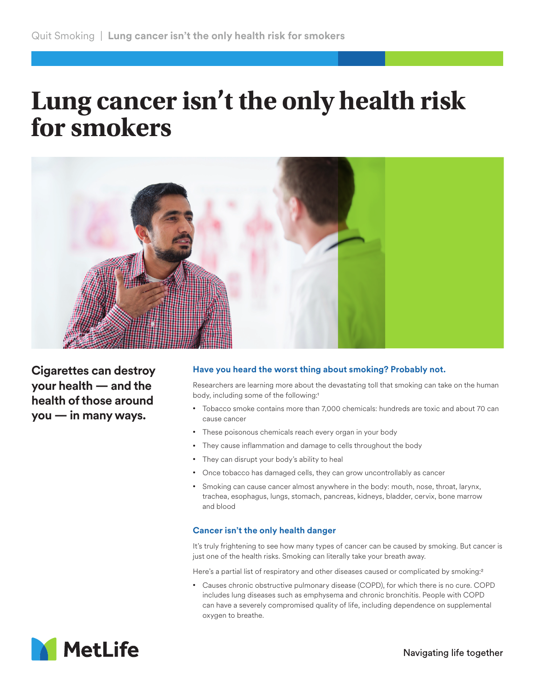## **Lung cancer isn't the only health risk for smokers**



**Cigarettes can destroy your health — and the health of those around you — in many ways.**

## **Have you heard the worst thing about smoking? Probably not.**

Researchers are learning more about the devastating toll that smoking can take on the human body, including some of the following:<sup>1</sup>

- Tobacco smoke contains more than 7,000 chemicals: hundreds are toxic and about 70 can cause cancer
- These poisonous chemicals reach every organ in your body
- They cause inflammation and damage to cells throughout the body
- They can disrupt your body's ability to heal
- Once tobacco has damaged cells, they can grow uncontrollably as cancer
- Smoking can cause cancer almost anywhere in the body: mouth, nose, throat, larynx, trachea, esophagus, lungs, stomach, pancreas, kidneys, bladder, cervix, bone marrow and blood

## **Cancer isn't the only health danger**

It's truly frightening to see how many types of cancer can be caused by smoking. But cancer is just one of the health risks. Smoking can literally take your breath away.

Here's a partial list of respiratory and other diseases caused or complicated by smoking:<sup>2</sup>

• Causes chronic obstructive pulmonary disease (COPD), for which there is no cure. COPD includes lung diseases such as emphysema and chronic bronchitis. People with COPD can have a severely compromised quality of life, including dependence on supplemental oxygen to breathe.